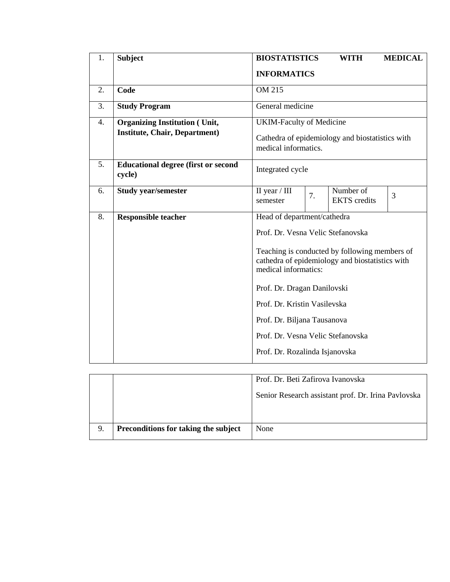| 1.               | <b>Subject</b>                                       | <b>BIOSTATISTICS</b>                                                                                                     |    | <b>WITH</b>                                     | <b>MEDICAL</b> |  |  |
|------------------|------------------------------------------------------|--------------------------------------------------------------------------------------------------------------------------|----|-------------------------------------------------|----------------|--|--|
|                  |                                                      | <b>INFORMATICS</b>                                                                                                       |    |                                                 |                |  |  |
| 2.               | Code                                                 | OM 215                                                                                                                   |    |                                                 |                |  |  |
| 3.               | <b>Study Program</b>                                 | General medicine                                                                                                         |    |                                                 |                |  |  |
| $\overline{4}$ . | <b>Organizing Institution (Unit,</b>                 | <b>UKIM-Faculty of Medicine</b>                                                                                          |    |                                                 |                |  |  |
|                  | <b>Institute, Chair, Department)</b>                 | medical informatics.                                                                                                     |    | Cathedra of epidemiology and biostatistics with |                |  |  |
| 5.               | <b>Educational degree (first or second</b><br>cycle) | Integrated cycle                                                                                                         |    |                                                 |                |  |  |
| 6.               | <b>Study year/semester</b>                           | II year / III<br>semester                                                                                                | 7. | Number of<br><b>EKTS</b> credits                | 3              |  |  |
| 8.               | <b>Responsible teacher</b>                           | Head of department/cathedra                                                                                              |    |                                                 |                |  |  |
|                  |                                                      | Prof. Dr. Vesna Velic Stefanovska                                                                                        |    |                                                 |                |  |  |
|                  |                                                      | Teaching is conducted by following members of<br>cathedra of epidemiology and biostatistics with<br>medical informatics: |    |                                                 |                |  |  |
|                  |                                                      | Prof. Dr. Dragan Danilovski                                                                                              |    |                                                 |                |  |  |
|                  |                                                      | Prof. Dr. Kristin Vasilevska                                                                                             |    |                                                 |                |  |  |
|                  |                                                      | Prof. Dr. Biljana Tausanova                                                                                              |    |                                                 |                |  |  |
|                  |                                                      | Prof. Dr. Vesna Velic Stefanovska                                                                                        |    |                                                 |                |  |  |
|                  |                                                      | Prof. Dr. Rozalinda Isjanovska                                                                                           |    |                                                 |                |  |  |

|    |                                      | Prof. Dr. Beti Zafirova Ivanovska                   |
|----|--------------------------------------|-----------------------------------------------------|
|    |                                      | Senior Research assistant prof. Dr. Irina Pavlovska |
|    |                                      |                                                     |
|    |                                      |                                                     |
| 9. | Preconditions for taking the subject | None                                                |
|    |                                      |                                                     |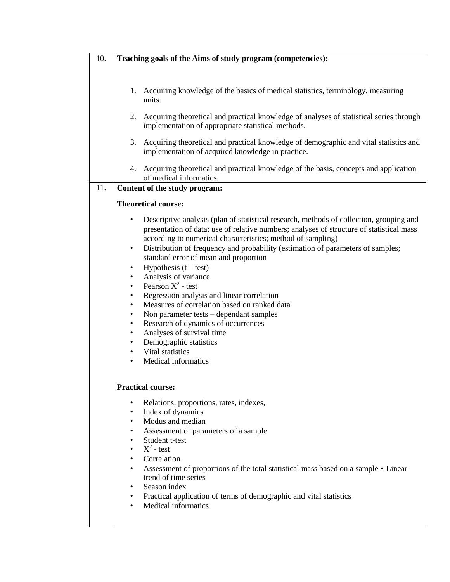| 10. | Teaching goals of the Aims of study program (competencies):                                                                                                                                                                                                                                                                                                                                                                                                                                                                         |  |  |  |  |  |  |  |
|-----|-------------------------------------------------------------------------------------------------------------------------------------------------------------------------------------------------------------------------------------------------------------------------------------------------------------------------------------------------------------------------------------------------------------------------------------------------------------------------------------------------------------------------------------|--|--|--|--|--|--|--|
|     |                                                                                                                                                                                                                                                                                                                                                                                                                                                                                                                                     |  |  |  |  |  |  |  |
|     | 1. Acquiring knowledge of the basics of medical statistics, terminology, measuring<br>units.                                                                                                                                                                                                                                                                                                                                                                                                                                        |  |  |  |  |  |  |  |
|     | 2. Acquiring theoretical and practical knowledge of analyses of statistical series through<br>implementation of appropriate statistical methods.                                                                                                                                                                                                                                                                                                                                                                                    |  |  |  |  |  |  |  |
|     | 3.<br>Acquiring theoretical and practical knowledge of demographic and vital statistics and<br>implementation of acquired knowledge in practice.                                                                                                                                                                                                                                                                                                                                                                                    |  |  |  |  |  |  |  |
|     | 4. Acquiring theoretical and practical knowledge of the basis, concepts and application<br>of medical informatics.                                                                                                                                                                                                                                                                                                                                                                                                                  |  |  |  |  |  |  |  |
| 11. | Content of the study program:                                                                                                                                                                                                                                                                                                                                                                                                                                                                                                       |  |  |  |  |  |  |  |
|     | <b>Theoretical course:</b>                                                                                                                                                                                                                                                                                                                                                                                                                                                                                                          |  |  |  |  |  |  |  |
|     | Descriptive analysis (plan of statistical research, methods of collection, grouping and<br>presentation of data; use of relative numbers; analyses of structure of statistical mass<br>according to numerical characteristics; method of sampling)<br>Distribution of frequency and probability (estimation of parameters of samples;<br>$\bullet$<br>standard error of mean and proportion<br>Hypothesis $(t - test)$<br>٠<br>Analysis of variance<br>٠<br>Pearson $X^2$ - test<br>Regression analysis and linear correlation<br>٠ |  |  |  |  |  |  |  |
|     | Measures of correlation based on ranked data<br>٠<br>Non parameter tests - dependant samples<br>$\bullet$<br>Research of dynamics of occurrences<br>$\bullet$<br>Analyses of survival time<br>$\bullet$                                                                                                                                                                                                                                                                                                                             |  |  |  |  |  |  |  |
|     | Demographic statistics<br>$\bullet$<br>Vital statistics<br>$\bullet$<br>Medical informatics<br>٠                                                                                                                                                                                                                                                                                                                                                                                                                                    |  |  |  |  |  |  |  |
|     |                                                                                                                                                                                                                                                                                                                                                                                                                                                                                                                                     |  |  |  |  |  |  |  |
|     | <b>Practical course:</b>                                                                                                                                                                                                                                                                                                                                                                                                                                                                                                            |  |  |  |  |  |  |  |
|     | Relations, proportions, rates, indexes,<br>$\bullet$<br>Index of dynamics<br>٠<br>Modus and median<br>Assessment of parameters of a sample<br>Student t-test<br>$X^2$ - test<br>$\bullet$<br>Correlation<br>$\bullet$<br>Assessment of proportions of the total statistical mass based on a sample • Linear<br>٠<br>trend of time series<br>Season index<br>٠<br>Practical application of terms of demographic and vital statistics<br>٠<br>Medical informatics<br>٠                                                                |  |  |  |  |  |  |  |
|     |                                                                                                                                                                                                                                                                                                                                                                                                                                                                                                                                     |  |  |  |  |  |  |  |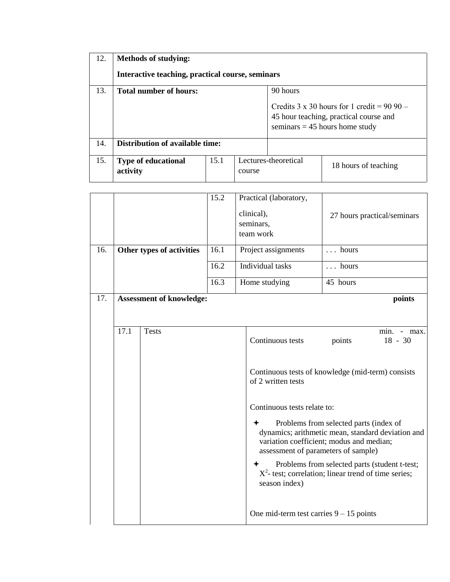| 12. | <b>Methods of studying:</b>                      |      |        |                                                                                                                                  |                      |  |  |  |  |  |  |
|-----|--------------------------------------------------|------|--------|----------------------------------------------------------------------------------------------------------------------------------|----------------------|--|--|--|--|--|--|
|     | Interactive teaching, practical course, seminars |      |        |                                                                                                                                  |                      |  |  |  |  |  |  |
| 13. | Total number of hours:                           |      |        | 90 hours                                                                                                                         |                      |  |  |  |  |  |  |
|     |                                                  |      |        | Credits $3 \times 30$ hours for 1 credit = 90 90 –<br>45 hour teaching, practical course and<br>seminars $= 45$ hours home study |                      |  |  |  |  |  |  |
| 14. | Distribution of available time:                  |      |        |                                                                                                                                  |                      |  |  |  |  |  |  |
| 15. | <b>Type of educational</b><br>activity           | 15.1 | course | Lectures-theoretical                                                                                                             | 18 hours of teaching |  |  |  |  |  |  |

| 16. | Other types of activities | 15.2<br>16.1<br>16.2            |  | Practical (laboratory,<br>clinical),<br>seminars,<br>team work<br>Project assignments<br>Individual tasks | hours<br>$\ldots$ hours                                                                                                              | 27 hours practical/seminars                   |                               |
|-----|---------------------------|---------------------------------|--|-----------------------------------------------------------------------------------------------------------|--------------------------------------------------------------------------------------------------------------------------------------|-----------------------------------------------|-------------------------------|
|     |                           |                                 |  | Home studying                                                                                             |                                                                                                                                      | 45 hours                                      |                               |
| 17. |                           | <b>Assessment of knowledge:</b> |  |                                                                                                           |                                                                                                                                      |                                               | points                        |
|     |                           |                                 |  |                                                                                                           |                                                                                                                                      |                                               |                               |
|     | 17.1                      | <b>Tests</b>                    |  |                                                                                                           | Continuous tests                                                                                                                     | points                                        | min.<br>$-$ max.<br>$18 - 30$ |
|     |                           |                                 |  |                                                                                                           | Continuous tests of knowledge (mid-term) consists<br>of 2 written tests                                                              |                                               |                               |
|     |                           |                                 |  |                                                                                                           | Continuous tests relate to:                                                                                                          |                                               |                               |
|     |                           |                                 |  |                                                                                                           | dynamics; arithmetic mean, standard deviation and<br>variation coefficient; modus and median;<br>assessment of parameters of sample) | Problems from selected parts (index of        |                               |
|     |                           |                                 |  |                                                                                                           | $X^2$ - test; correlation; linear trend of time series;<br>season index)                                                             | Problems from selected parts (student t-test; |                               |
|     |                           |                                 |  |                                                                                                           | One mid-term test carries $9 - 15$ points                                                                                            |                                               |                               |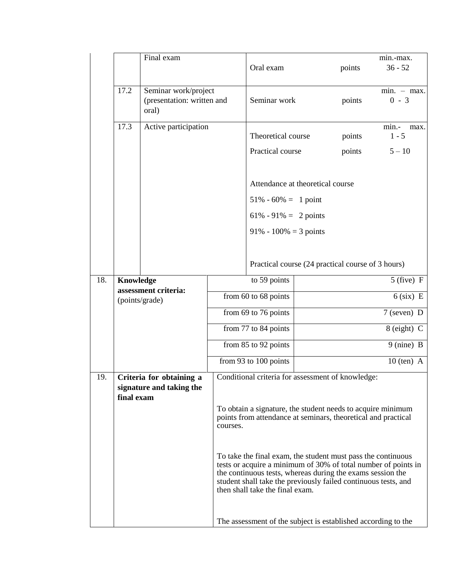|     |                                                     | Final exam                                                  |                      | Oral exam                                                                                                                                                                                                                       |  | points | min.-max.<br>$36 - 52$                                         |  |
|-----|-----------------------------------------------------|-------------------------------------------------------------|----------------------|---------------------------------------------------------------------------------------------------------------------------------------------------------------------------------------------------------------------------------|--|--------|----------------------------------------------------------------|--|
|     | 17.2                                                | Seminar work/project<br>(presentation: written and<br>oral) |                      | Seminar work                                                                                                                                                                                                                    |  | points | $min. - max.$<br>$0 - 3$                                       |  |
|     | 17.3                                                | Active participation                                        |                      | Theoretical course                                                                                                                                                                                                              |  | points | min.-<br>max.<br>$1 - 5$                                       |  |
|     |                                                     |                                                             |                      | Practical course                                                                                                                                                                                                                |  | points | $5 - 10$                                                       |  |
|     |                                                     |                                                             |                      | Attendance at theoretical course                                                                                                                                                                                                |  |        |                                                                |  |
|     |                                                     |                                                             |                      | $51\% - 60\% = 1$ point                                                                                                                                                                                                         |  |        |                                                                |  |
|     |                                                     |                                                             |                      | $61\% - 91\% = 2$ points                                                                                                                                                                                                        |  |        |                                                                |  |
|     |                                                     |                                                             |                      | $91\% - 100\% = 3$ points                                                                                                                                                                                                       |  |        |                                                                |  |
|     |                                                     |                                                             |                      |                                                                                                                                                                                                                                 |  |        |                                                                |  |
|     |                                                     |                                                             |                      | Practical course (24 practical course of 3 hours)                                                                                                                                                                               |  |        |                                                                |  |
| 18. | Knowledge<br>assessment criteria:<br>(points/grade) |                                                             |                      | to 59 points                                                                                                                                                                                                                    |  |        | $5$ (five) F                                                   |  |
|     |                                                     |                                                             | from 60 to 68 points |                                                                                                                                                                                                                                 |  |        | $6$ (six) E                                                    |  |
|     |                                                     |                                                             |                      | from 69 to 76 points                                                                                                                                                                                                            |  |        | $7$ (seven) D                                                  |  |
|     |                                                     |                                                             |                      | from 77 to 84 points                                                                                                                                                                                                            |  |        | 8 (eight) C                                                    |  |
|     |                                                     |                                                             |                      | from 85 to 92 points                                                                                                                                                                                                            |  |        | 9 (nine) B                                                     |  |
|     |                                                     |                                                             |                      | from 93 to 100 points                                                                                                                                                                                                           |  |        | $10$ (ten) A                                                   |  |
| 19. | final exam                                          | Criteria for obtaining a<br>signature and taking the        |                      | Conditional criteria for assessment of knowledge:                                                                                                                                                                               |  |        |                                                                |  |
|     |                                                     |                                                             | courses.             | To obtain a signature, the student needs to acquire minimum<br>points from attendance at seminars, theoretical and practical                                                                                                    |  |        |                                                                |  |
|     |                                                     |                                                             |                      | To take the final exam, the student must pass the continuous<br>the continuous tests, whereas during the exams session the<br>student shall take the previously failed continuous tests, and<br>then shall take the final exam. |  |        | tests or acquire a minimum of 30% of total number of points in |  |
|     |                                                     |                                                             |                      | The assessment of the subject is established according to the                                                                                                                                                                   |  |        |                                                                |  |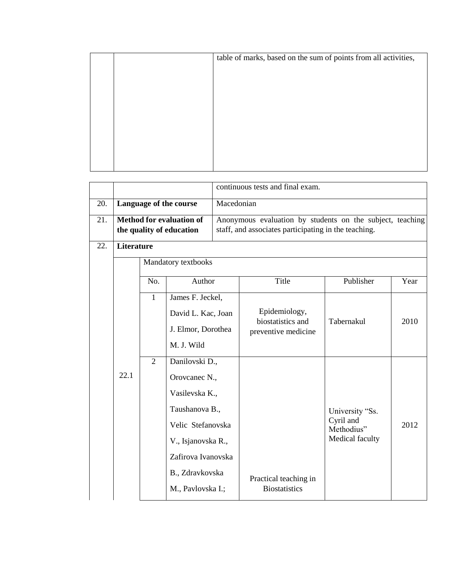|  | table of marks, based on the sum of points from all activities, |  |  |  |  |
|--|-----------------------------------------------------------------|--|--|--|--|
|  |                                                                 |  |  |  |  |
|  |                                                                 |  |  |  |  |
|  |                                                                 |  |  |  |  |
|  |                                                                 |  |  |  |  |
|  |                                                                 |  |  |  |  |
|  |                                                                 |  |  |  |  |
|  |                                                                 |  |  |  |  |
|  |                                                                 |  |  |  |  |
|  |                                                                 |  |  |  |  |

|     |                                                             |                                                                                                                                                                                                | continuous tests and final exam.                                           |                                                                                                                   |                                                           |                                                               |      |  |
|-----|-------------------------------------------------------------|------------------------------------------------------------------------------------------------------------------------------------------------------------------------------------------------|----------------------------------------------------------------------------|-------------------------------------------------------------------------------------------------------------------|-----------------------------------------------------------|---------------------------------------------------------------|------|--|
| 20. | Language of the course                                      |                                                                                                                                                                                                |                                                                            | Macedonian                                                                                                        |                                                           |                                                               |      |  |
| 21. | <b>Method for evaluation of</b><br>the quality of education |                                                                                                                                                                                                |                                                                            | Anonymous evaluation by students on the subject, teaching<br>staff, and associates participating in the teaching. |                                                           |                                                               |      |  |
| 22. | Literature                                                  |                                                                                                                                                                                                |                                                                            |                                                                                                                   |                                                           |                                                               |      |  |
|     | Mandatory textbooks                                         |                                                                                                                                                                                                |                                                                            |                                                                                                                   |                                                           |                                                               |      |  |
|     | No.                                                         |                                                                                                                                                                                                | Author                                                                     |                                                                                                                   | Title                                                     | Publisher                                                     | Year |  |
|     |                                                             |                                                                                                                                                                                                | James F. Jeckel,<br>David L. Kac, Joan<br>J. Elmor, Dorothea<br>M. J. Wild |                                                                                                                   | Epidemiology,<br>biostatistics and<br>preventive medicine | Tabernakul                                                    | 2010 |  |
|     | 22.1                                                        | Danilovski D.,<br>$\overline{2}$<br>Orovcanec N.,<br>Vasilevska K.,<br>Taushanova B.,<br>Velic Stefanovska<br>V., Isjanovska R.,<br>Zafirova Ivanovska<br>B., Zdravkovska<br>M., Pavlovska I.; |                                                                            |                                                                                                                   | Practical teaching in<br><b>Biostatistics</b>             | University "Ss.<br>Cyril and<br>Methodius"<br>Medical faculty | 2012 |  |